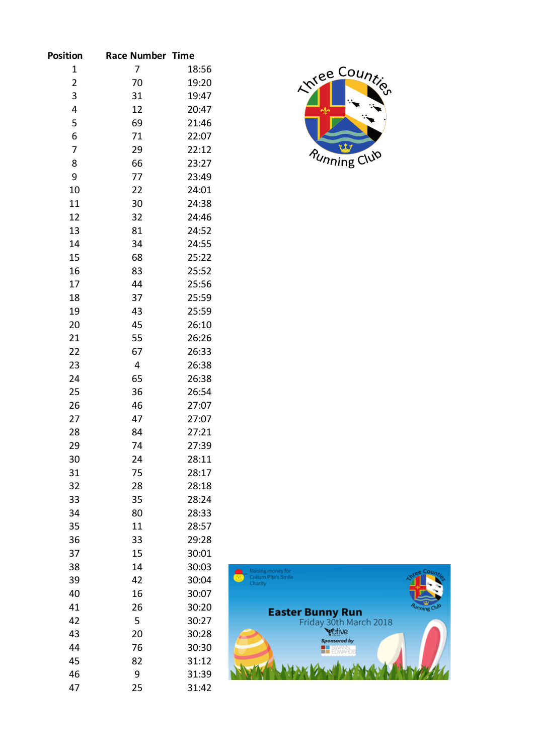| <b>Position</b>         | <b>Race Number Time</b> |       |
|-------------------------|-------------------------|-------|
| 1                       | 7                       | 18:56 |
| $\overline{\mathbf{c}}$ | 70                      | 19:20 |
| 3                       | 31                      | 19:47 |
| 4                       | 12                      | 20:47 |
| 5                       | 69                      | 21:46 |
| 6                       | 71                      | 22:07 |
| 7                       | 29                      | 22:12 |
| 8                       | 66                      | 23:27 |
| 9                       | 77                      | 23:49 |
| 10                      | 22                      | 24:01 |
| 11                      | 30                      | 24:38 |
| 12                      | 32                      | 24:46 |
| 13                      | 81                      | 24:52 |
| 14                      | 34                      | 24:55 |
| 15                      | 68                      | 25:22 |
| 16                      | 83                      | 25:52 |
| 17                      | 44                      | 25:56 |
| 18                      | 37                      | 25:59 |
| 19                      | 43                      | 25:59 |
| 20                      | 45                      | 26:10 |
| 21                      | 55                      | 26:26 |
| 22                      | 67                      | 26:33 |
| 23                      | 4                       | 26:38 |
| 24                      | 65                      | 26:38 |
| 25                      | 36                      | 26:54 |
| 26                      | 46                      | 27:07 |
| 27                      | 47                      | 27:07 |
| 28                      | 84                      | 27:21 |
| 29                      | 74                      | 27:39 |
| 30                      | 24                      | 28:11 |
| 31                      | 75                      | 28:17 |
| 32                      | 28                      | 28:18 |
| 33                      | 35                      | 28:24 |
| 34                      | 80                      | 28:33 |
| 35                      | 11                      | 28:57 |
| 36                      | 33                      | 29:28 |
| 37                      | 15                      | 30:01 |
| 38                      | 14                      | 30:03 |
| 39                      | 42                      | 30:04 |
| 40                      | 16                      | 30:07 |
| 41                      | 26                      | 30:20 |
| 42                      | 5                       | 30:27 |
| 43                      | 20                      | 30:28 |
| 44                      | 76                      | 30:30 |
| 45                      | 82                      | 31:12 |
| 46                      | 9                       | 31:39 |
| 47                      | 25                      | 31:42 |